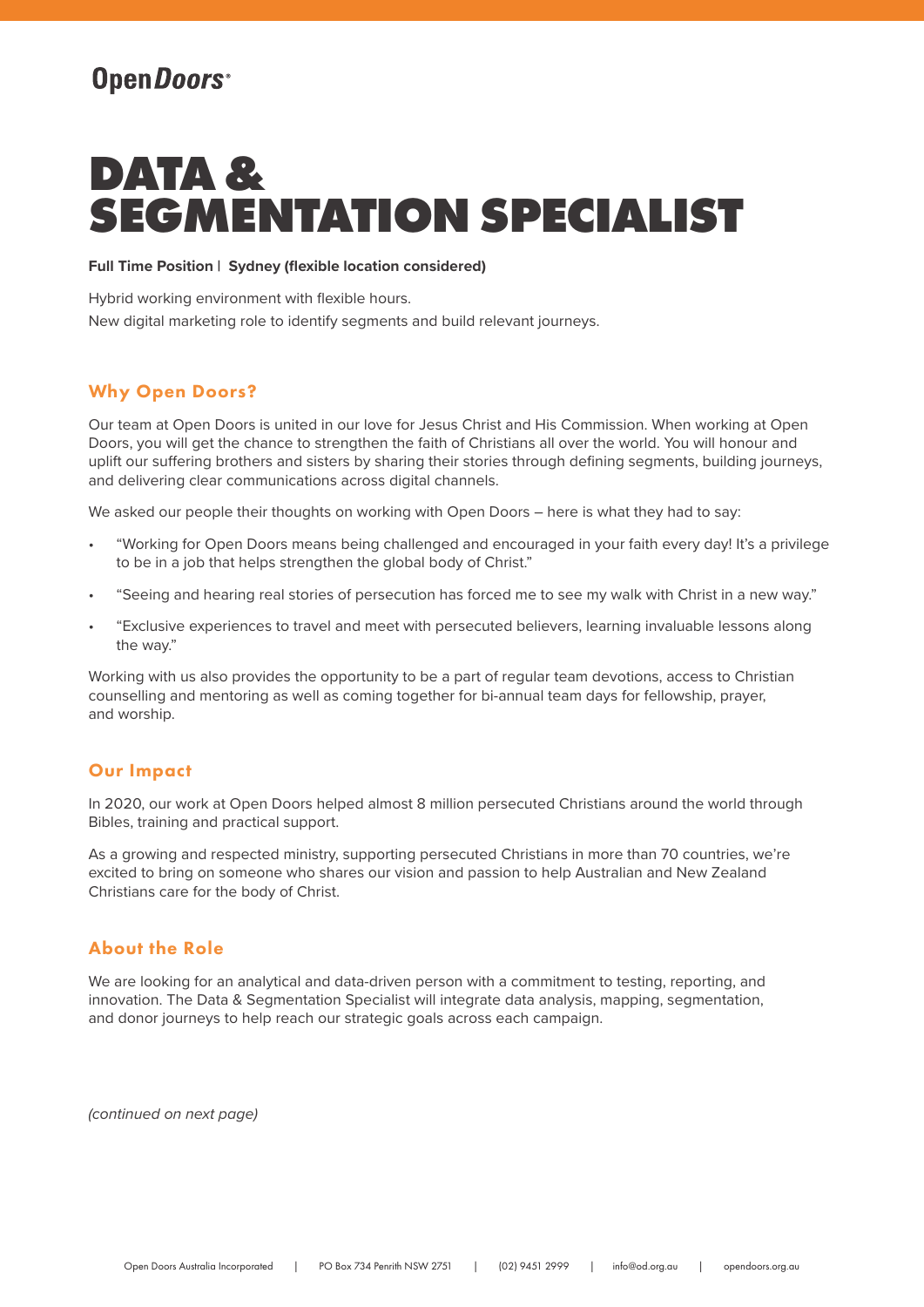# OpenDoors<sup>®</sup>

# **DATA & SEGMENTATION SPECIALIST**

#### **Full Time Position | Sydney (flexible location considered)**

Hybrid working environment with flexible hours. New digital marketing role to identify segments and build relevant journeys.

## Why Open Doors?

Our team at Open Doors is united in our love for Jesus Christ and His Commission. When working at Open Doors, you will get the chance to strengthen the faith of Christians all over the world. You will honour and uplift our suffering brothers and sisters by sharing their stories through defining segments, building journeys, and delivering clear communications across digital channels.

We asked our people their thoughts on working with Open Doors – here is what they had to say:

- "Working for Open Doors means being challenged and encouraged in your faith every day! It's a privilege to be in a job that helps strengthen the global body of Christ."
- "Seeing and hearing real stories of persecution has forced me to see my walk with Christ in a new way."
- "Exclusive experiences to travel and meet with persecuted believers, learning invaluable lessons along the way."

Working with us also provides the opportunity to be a part of regular team devotions, access to Christian counselling and mentoring as well as coming together for bi-annual team days for fellowship, prayer, and worship.

### Our Impact

In 2020, our work at Open Doors helped almost 8 million persecuted Christians around the world through Bibles, training and practical support.

As a growing and respected ministry, supporting persecuted Christians in more than 70 countries, we're excited to bring on someone who shares our vision and passion to help Australian and New Zealand Christians care for the body of Christ.

### About the Role

We are looking for an analytical and data-driven person with a commitment to testing, reporting, and innovation. The Data & Segmentation Specialist will integrate data analysis, mapping, segmentation, and donor journeys to help reach our strategic goals across each campaign.

*(continued on next page)*